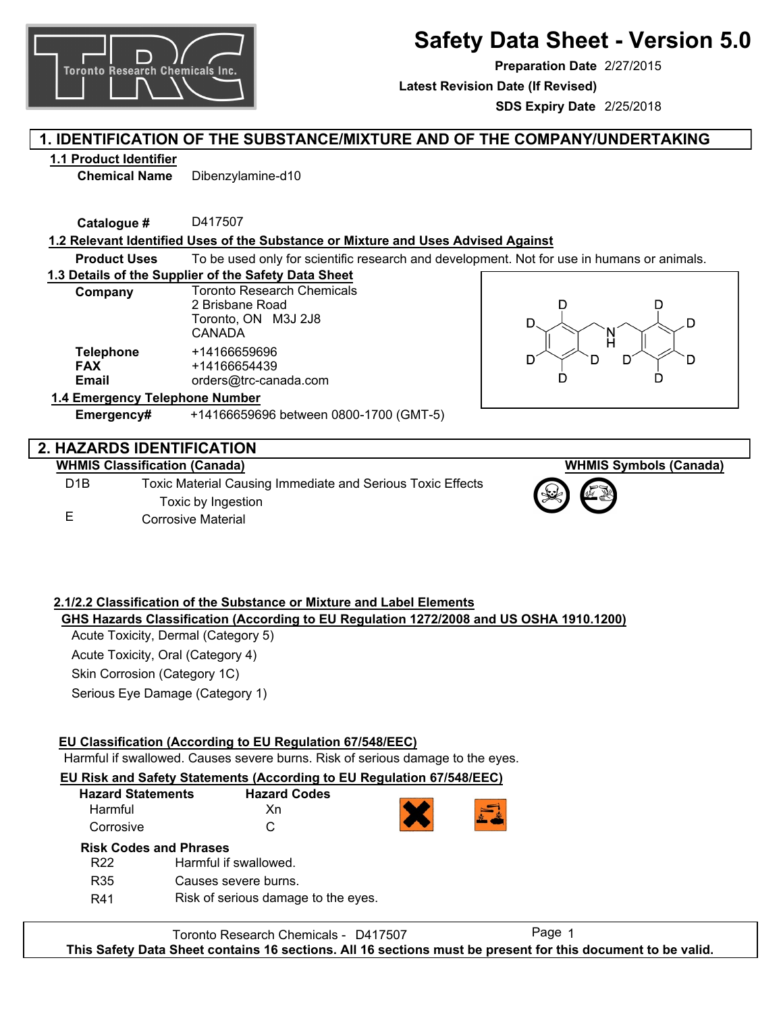

# **Safety Data Sheet - Version 5.0**

**Preparation Date** 2/27/2015

**Latest Revision Date (If Revised)**

**SDS Expiry Date** 2/25/2018

## **1. IDENTIFICATION OF THE SUBSTANCE/MIXTURE AND OF THE COMPANY/UNDERTAKING**

### **1.1 Product Identifier**

**Chemical Name** Dibenzylamine-d10

**Catalogue #** D417507

### **1.2 Relevant Identified Uses of the Substance or Mixture and Uses Advised Against**

**Product Uses** To be used only for scientific research and development. Not for use in humans or animals.

**1.3 Details of the Supplier of the Safety Data Sheet**

| Company                        | <b>Toronto Research Chemicals</b> |  |
|--------------------------------|-----------------------------------|--|
|                                | 2 Brisbane Road                   |  |
|                                | Toronto, ON M3J 2J8               |  |
|                                | CANADA                            |  |
| <b>Telephone</b>               | +14166659696                      |  |
| <b>FAX</b>                     | +14166654439                      |  |
| Email                          | orders@trc-canada.com             |  |
| 1.4 Emergency Telephone Number |                                   |  |



### **2. HAZARDS IDENTIFICATION**

### **WHMIS Classification (Canada)**

D1B E Toxic Material Causing Immediate and Serious Toxic Effects Toxic by Ingestion Corrosive Material

**Emergency#** +14166659696 between 0800-1700 (GMT-5)





### **2.1/2.2 Classification of the Substance or Mixture and Label Elements**

### **GHS Hazards Classification (According to EU Regulation 1272/2008 and US OSHA 1910.1200)**

Acute Toxicity, Dermal (Category 5) Acute Toxicity, Oral (Category 4) Skin Corrosion (Category 1C) Serious Eye Damage (Category 1)

### **EU Classification (According to EU Regulation 67/548/EEC)**

Harmful if swallowed. Causes severe burns. Risk of serious damage to the eyes.

#### **EU Risk and Safety Statements (According to EU Regulation 67/548/EEC)** rd Codes

| <b>Hazard Statements</b> | Hazar |
|--------------------------|-------|
| Harmful                  | Xn    |
| Corrosive                | C     |



### **Risk Codes and Phrases**

| R <sub>22</sub> | Harmful if swallowed.               |
|-----------------|-------------------------------------|
| R35             | Causes severe burns.                |
| R41             | Risk of serious damage to the eyes. |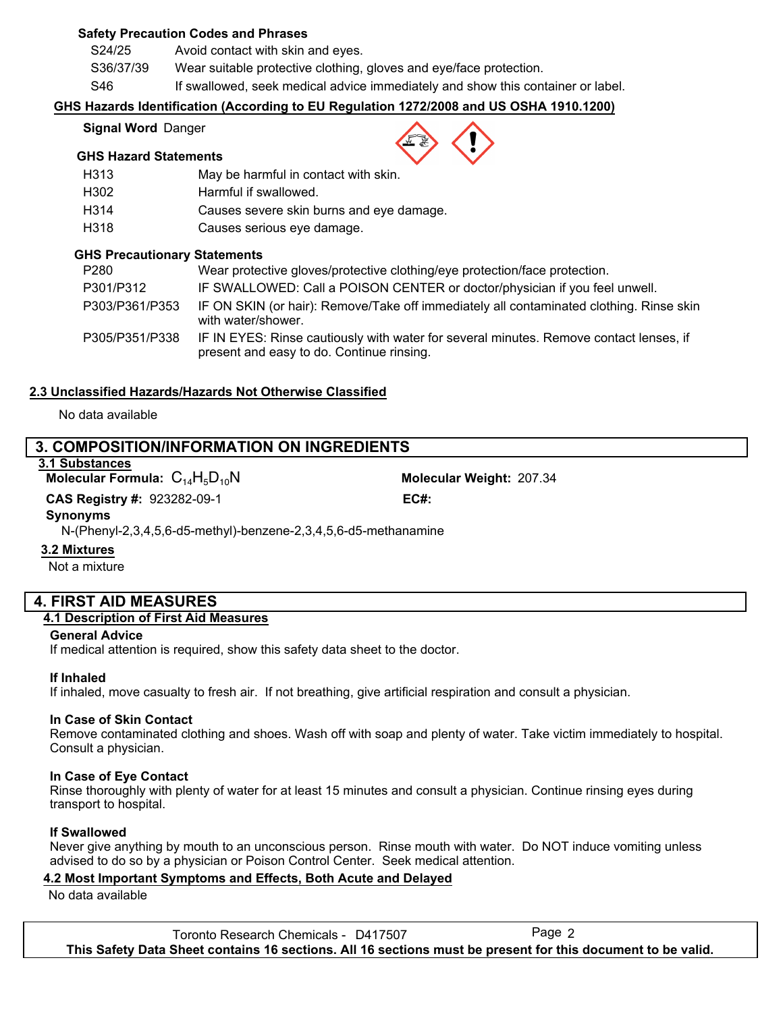### **Safety Precaution Codes and Phrases**

S24/25 Avoid contact with skin and eyes.

S36/37/39 Wear suitable protective clothing, gloves and eye/face protection.

S46 If swallowed, seek medical advice immediately and show this container or label.

### **GHS Hazards Identification (According to EU Regulation 1272/2008 and US OSHA 1910.1200)**

#### **Signal Word** Danger

#### **GHS Hazard Statements**

| H313 | May be harmful in contact with skin.     |
|------|------------------------------------------|
| H302 | Harmful if swallowed.                    |
| H314 | Causes severe skin burns and eye damage. |
| H318 | Causes serious eye damage.               |

### **GHS Precautionary Statements**

| P <sub>280</sub> | Wear protective gloves/protective clothing/eye protection/face protection.                                                          |
|------------------|-------------------------------------------------------------------------------------------------------------------------------------|
| P301/P312        | IF SWALLOWED: Call a POISON CENTER or doctor/physician if you feel unwell.                                                          |
| P303/P361/P353   | IF ON SKIN (or hair): Remove/Take off immediately all contaminated clothing. Rinse skin<br>with water/shower.                       |
| P305/P351/P338   | IF IN EYES: Rinse cautiously with water for several minutes. Remove contact lenses, if<br>present and easy to do. Continue rinsing. |

### **2.3 Unclassified Hazards/Hazards Not Otherwise Classified**

#### No data available

### **3. COMPOSITION/INFORMATION ON INGREDIENTS**

### **3.1 Substances**

**Molecular Formula:**  $C_{14}H_5D_{10}N$ 

Molecular Weight: 207.34 923282-09-1 **CAS Registry #: EC#:**

#### **Synonyms**

N-(Phenyl-2,3,4,5,6-d5-methyl)-benzene-2,3,4,5,6-d5-methanamine

#### **3.2 Mixtures**

Not a mixture

### **4. FIRST AID MEASURES**

### **4.1 Description of First Aid Measures**

#### **General Advice**

If medical attention is required, show this safety data sheet to the doctor.

#### **If Inhaled**

If inhaled, move casualty to fresh air. If not breathing, give artificial respiration and consult a physician.

#### **In Case of Skin Contact**

Remove contaminated clothing and shoes. Wash off with soap and plenty of water. Take victim immediately to hospital. Consult a physician.

#### **In Case of Eye Contact**

Rinse thoroughly with plenty of water for at least 15 minutes and consult a physician. Continue rinsing eyes during transport to hospital.

#### **If Swallowed**

Never give anything by mouth to an unconscious person. Rinse mouth with water. Do NOT induce vomiting unless advised to do so by a physician or Poison Control Center. Seek medical attention.

### **4.2 Most Important Symptoms and Effects, Both Acute and Delayed**

No data available

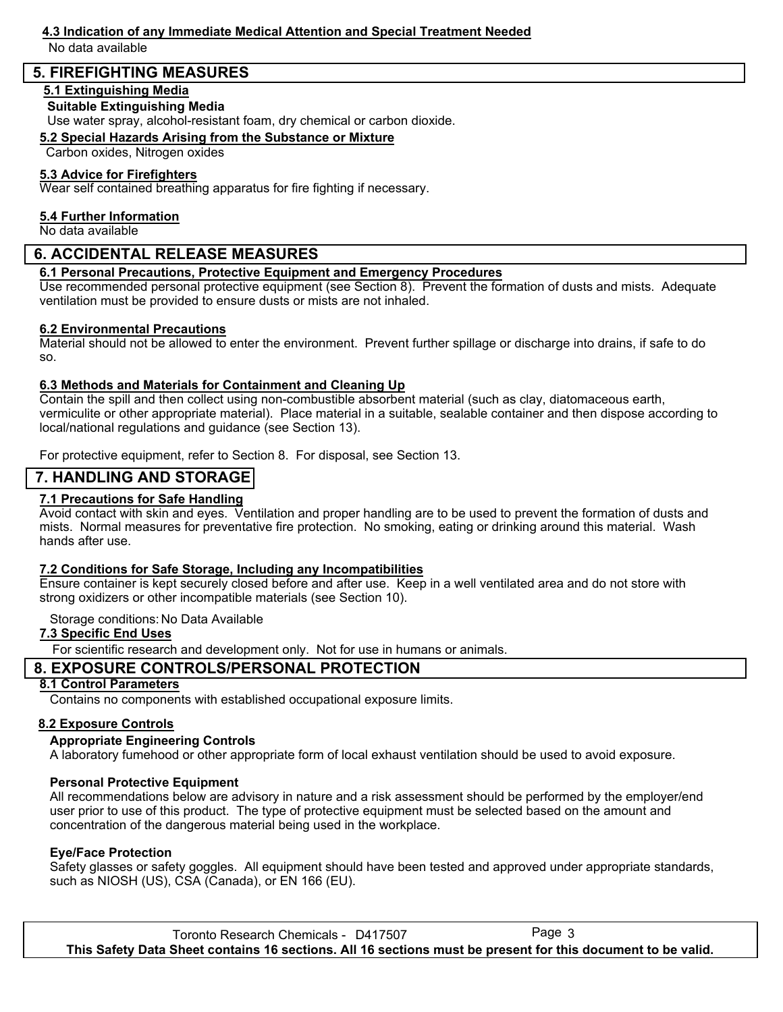# **4.3 Indication of any Immediate Medical Attention and Special Treatment Needed**

No data available

### **5. FIREFIGHTING MEASURES**

### **5.1 Extinguishing Media**

### **Suitable Extinguishing Media**

Use water spray, alcohol-resistant foam, dry chemical or carbon dioxide.

### **5.2 Special Hazards Arising from the Substance or Mixture**

Carbon oxides, Nitrogen oxides

### **5.3 Advice for Firefighters**

Wear self contained breathing apparatus for fire fighting if necessary.

### **5.4 Further Information**

No data available

### **6. ACCIDENTAL RELEASE MEASURES**

### **6.1 Personal Precautions, Protective Equipment and Emergency Procedures**

Use recommended personal protective equipment (see Section 8). Prevent the formation of dusts and mists. Adequate ventilation must be provided to ensure dusts or mists are not inhaled.

### **6.2 Environmental Precautions**

Material should not be allowed to enter the environment. Prevent further spillage or discharge into drains, if safe to do so.

### **6.3 Methods and Materials for Containment and Cleaning Up**

Contain the spill and then collect using non-combustible absorbent material (such as clay, diatomaceous earth, vermiculite or other appropriate material). Place material in a suitable, sealable container and then dispose according to local/national regulations and guidance (see Section 13).

For protective equipment, refer to Section 8. For disposal, see Section 13.

### **7. HANDLING AND STORAGE**

### **7.1 Precautions for Safe Handling**

Avoid contact with skin and eyes. Ventilation and proper handling are to be used to prevent the formation of dusts and mists. Normal measures for preventative fire protection. No smoking, eating or drinking around this material. Wash hands after use.

### **7.2 Conditions for Safe Storage, Including any Incompatibilities**

Ensure container is kept securely closed before and after use. Keep in a well ventilated area and do not store with strong oxidizers or other incompatible materials (see Section 10).

Storage conditions: No Data Available

### **7.3 Specific End Uses**

For scientific research and development only. Not for use in humans or animals.

### **8. EXPOSURE CONTROLS/PERSONAL PROTECTION**

### **8.1 Control Parameters**

Contains no components with established occupational exposure limits.

### **8.2 Exposure Controls**

### **Appropriate Engineering Controls**

A laboratory fumehood or other appropriate form of local exhaust ventilation should be used to avoid exposure.

### **Personal Protective Equipment**

All recommendations below are advisory in nature and a risk assessment should be performed by the employer/end user prior to use of this product. The type of protective equipment must be selected based on the amount and concentration of the dangerous material being used in the workplace.

### **Eye/Face Protection**

Safety glasses or safety goggles. All equipment should have been tested and approved under appropriate standards, such as NIOSH (US), CSA (Canada), or EN 166 (EU).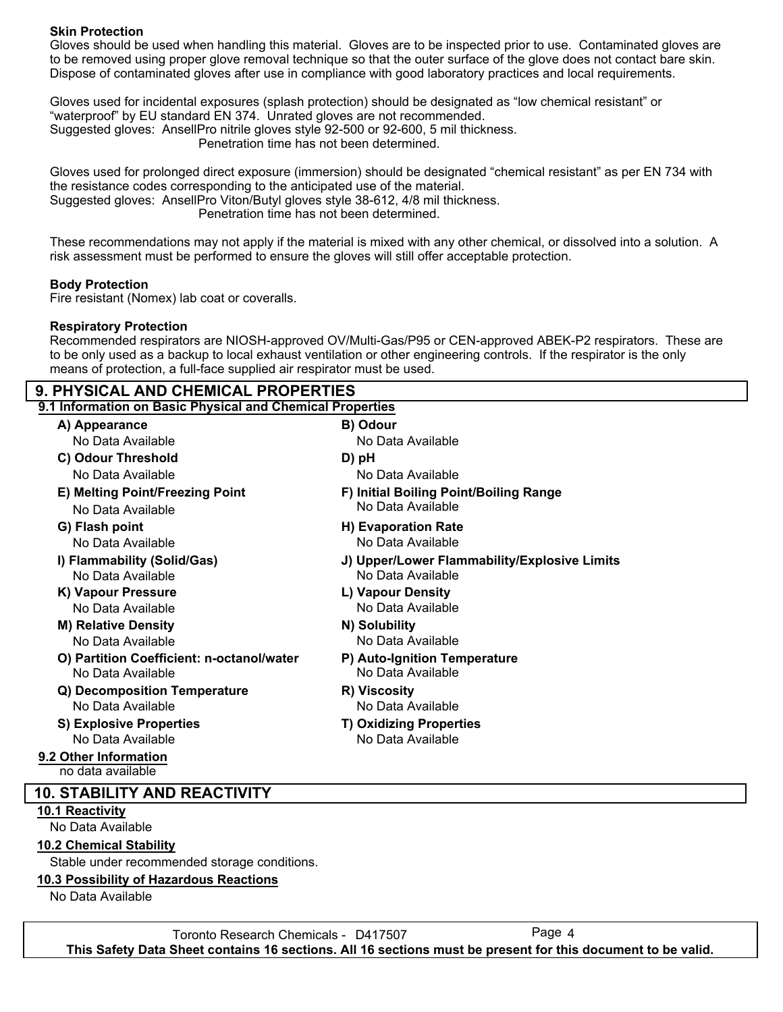### **Skin Protection**

Gloves should be used when handling this material. Gloves are to be inspected prior to use. Contaminated gloves are to be removed using proper glove removal technique so that the outer surface of the glove does not contact bare skin. Dispose of contaminated gloves after use in compliance with good laboratory practices and local requirements.

Gloves used for incidental exposures (splash protection) should be designated as "low chemical resistant" or "waterproof" by EU standard EN 374. Unrated gloves are not recommended. Suggested gloves: AnsellPro nitrile gloves style 92-500 or 92-600, 5 mil thickness. Penetration time has not been determined.

Gloves used for prolonged direct exposure (immersion) should be designated "chemical resistant" as per EN 734 with the resistance codes corresponding to the anticipated use of the material.

Suggested gloves: AnsellPro Viton/Butyl gloves style 38-612, 4/8 mil thickness.

Penetration time has not been determined.

These recommendations may not apply if the material is mixed with any other chemical, or dissolved into a solution. A risk assessment must be performed to ensure the gloves will still offer acceptable protection.

#### **Body Protection**

Fire resistant (Nomex) lab coat or coveralls.

#### **Respiratory Protection**

Recommended respirators are NIOSH-approved OV/Multi-Gas/P95 or CEN-approved ABEK-P2 respirators. These are to be only used as a backup to local exhaust ventilation or other engineering controls. If the respirator is the only means of protection, a full-face supplied air respirator must be used.

### **9. PHYSICAL AND CHEMICAL PROPERTIES**

| 9.1 Information on Basic Physical and Chemical Properties      |                                                   |  |
|----------------------------------------------------------------|---------------------------------------------------|--|
| A) Appearance                                                  | B) Odour                                          |  |
| No Data Available                                              | No Data Available                                 |  |
| C) Odour Threshold                                             | D) pH                                             |  |
| No Data Available                                              | No Data Available                                 |  |
| E) Melting Point/Freezing Point                                | F) Initial Boiling Point/Boiling Range            |  |
| No Data Available                                              | No Data Available                                 |  |
| G) Flash point                                                 | H) Evaporation Rate                               |  |
| No Data Available                                              | No Data Available                                 |  |
| I) Flammability (Solid/Gas)                                    | J) Upper/Lower Flammability/Explosive Limits      |  |
| No Data Available                                              | No Data Available                                 |  |
| K) Vapour Pressure                                             | L) Vapour Density                                 |  |
| No Data Available                                              | No Data Available                                 |  |
| <b>M) Relative Density</b>                                     | N) Solubility                                     |  |
| No Data Available                                              | No Data Available                                 |  |
| O) Partition Coefficient: n-octanol/water<br>No Data Available | P) Auto-Ignition Temperature<br>No Data Available |  |
| Q) Decomposition Temperature                                   | R) Viscosity                                      |  |
| No Data Available                                              | No Data Available                                 |  |
| <b>S) Explosive Properties</b>                                 | <b>T) Oxidizing Properties</b>                    |  |
| No Data Available                                              | No Data Available                                 |  |
| 9.2 Other Information<br>no data available                     |                                                   |  |

### **10. STABILITY AND REACTIVITY**

#### **10.1 Reactivity**

No Data Available

### **10.2 Chemical Stability**

Stable under recommended storage conditions.

### **10.3 Possibility of Hazardous Reactions**

No Data Available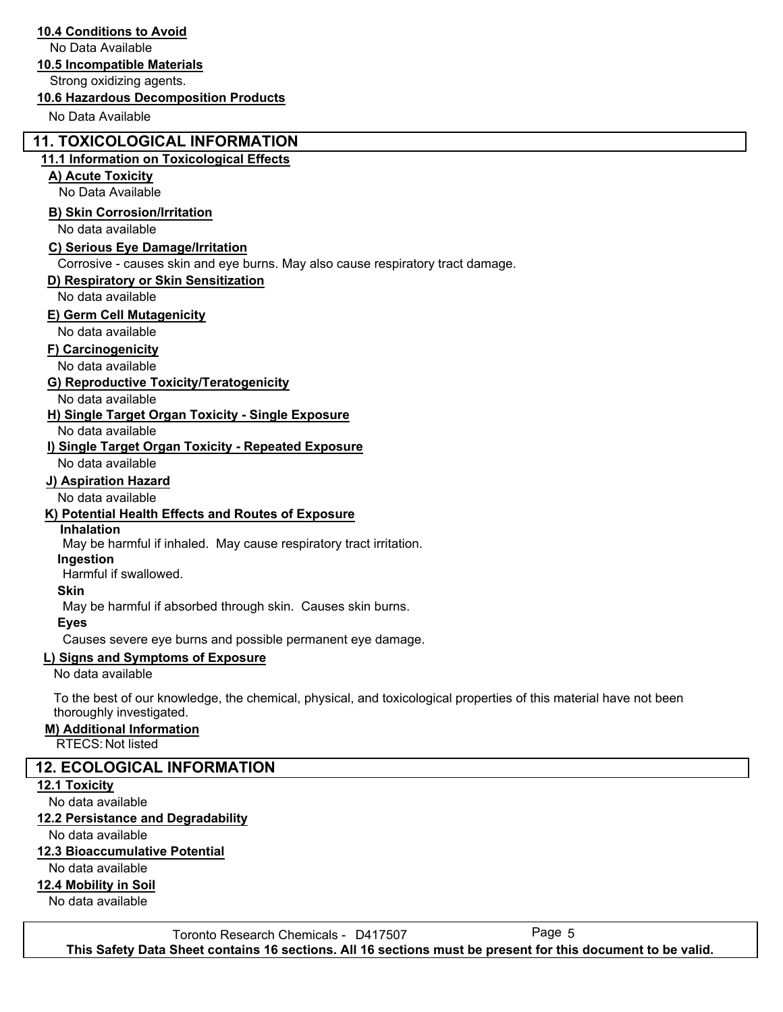### **10.4 Conditions to Avoid**

No Data Available

### **10.5 Incompatible Materials**

Strong oxidizing agents.

#### **10.6 Hazardous Decomposition Products**

No Data Available

### **11. TOXICOLOGICAL INFORMATION**

#### **11.1 Information on Toxicological Effects**

### **A) Acute Toxicity**

No Data Available

### **B) Skin Corrosion/Irritation**

No data available

### **C) Serious Eye Damage/Irritation**

Corrosive - causes skin and eye burns. May also cause respiratory tract damage.

### **D) Respiratory or Skin Sensitization**

No data available

### **E) Germ Cell Mutagenicity**

No data available

#### **F) Carcinogenicity**

No data available

### **G) Reproductive Toxicity/Teratogenicity**

No data available

### **H) Single Target Organ Toxicity - Single Exposure**

No data available

### **I) Single Target Organ Toxicity - Repeated Exposure**

No data available

### **J) Aspiration Hazard**

No data available

### **K) Potential Health Effects and Routes of Exposure**

#### **Inhalation**

May be harmful if inhaled. May cause respiratory tract irritation.

### **Ingestion**

Harmful if swallowed.

#### **Skin**

May be harmful if absorbed through skin. Causes skin burns.

#### **Eyes**

Causes severe eye burns and possible permanent eye damage.

### **L) Signs and Symptoms of Exposure**

No data available

To the best of our knowledge, the chemical, physical, and toxicological properties of this material have not been thoroughly investigated.

#### **M) Additional Information**

RTECS: Not listed

### **12. ECOLOGICAL INFORMATION**

#### **12.1 Toxicity**

No data available

#### **12.2 Persistance and Degradability**

No data available

#### **12.3 Bioaccumulative Potential**

No data available

### **12.4 Mobility in Soil**

No data available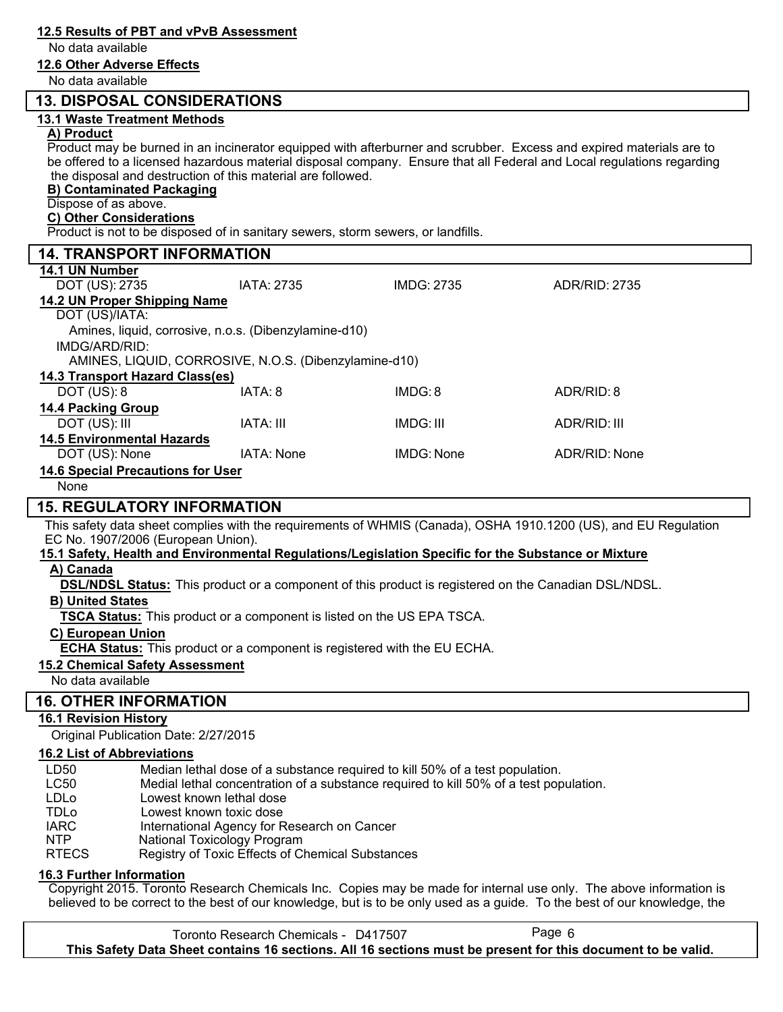### **12.5 Results of PBT and vPvB Assessment** No data available **12.6 Other Adverse Effects** No data available  **13. DISPOSAL CONSIDERATIONS 13.1 Waste Treatment Methods A) Product** Product may be burned in an incinerator equipped with afterburner and scrubber. Excess and expired materials are to be offered to a licensed hazardous material disposal company. Ensure that all Federal and Local regulations regarding the disposal and destruction of this material are followed. **B) Contaminated Packaging** Dispose of as above. **C) Other Considerations** Product is not to be disposed of in sanitary sewers, storm sewers, or landfills.  **14. TRANSPORT INFORMATION 14.1 UN Number** DOT (US): 2735 IATA: 2735 IMDG: 2735 ADR/RID: 2735 **14.2 UN Proper Shipping Name** DOT (US)/IATA: IMDG/ARD/RID: Amines, liquid, corrosive, n.o.s. (Dibenzylamine-d10) AMINES, LIQUID, CORROSIVE, N.O.S. (Dibenzylamine-d10) **14.3 Transport Hazard Class(es)** DOT (US): 8 IATA: 8 IMDG: 8 ADR/RID: 8 **14.4 Packing Group** DOT (US): III IATA: III IMDG: III ADR/RID: III **14.5 Environmental Hazards** DOT (US): None IATA: None IMDG: None ADR/RID: None **14.6 Special Precautions for User** None  **15. REGULATORY INFORMATION** This safety data sheet complies with the requirements of WHMIS (Canada), OSHA 1910.1200 (US), and EU Regulation EC No. 1907/2006 (European Union). **15.1 Safety, Health and Environmental Regulations/Legislation Specific for the Substance or Mixture A) Canada B) United States C) European Union TSCA Status:** This product or a component is listed on the US EPA TSCA. **DSL/NDSL Status:** This product or a component of this product is registered on the Canadian DSL/NDSL. **ECHA Status:** This product or a component is registered with the EU ECHA. **15.2 Chemical Safety Assessment** No data available  **16. OTHER INFORMATION 16.1 Revision History** Original Publication Date: 2/27/2015 **16.2 List of Abbreviations** LD50 Median lethal dose of a substance required to kill 50% of a test population. LC50 Medial lethal concentration of a substance required to kill 50% of a test population. LDLo Lowest known lethal dose TDLo Lowest known toxic dose

- IARC International Agency for Research on Cancer
- NTP National Toxicology Program
- RTECS Registry of Toxic Effects of Chemical Substances

### **16.3 Further Information**

Copyright 2015. Toronto Research Chemicals Inc. Copies may be made for internal use only. The above information is believed to be correct to the best of our knowledge, but is to be only used as a guide. To the best of our knowledge, the